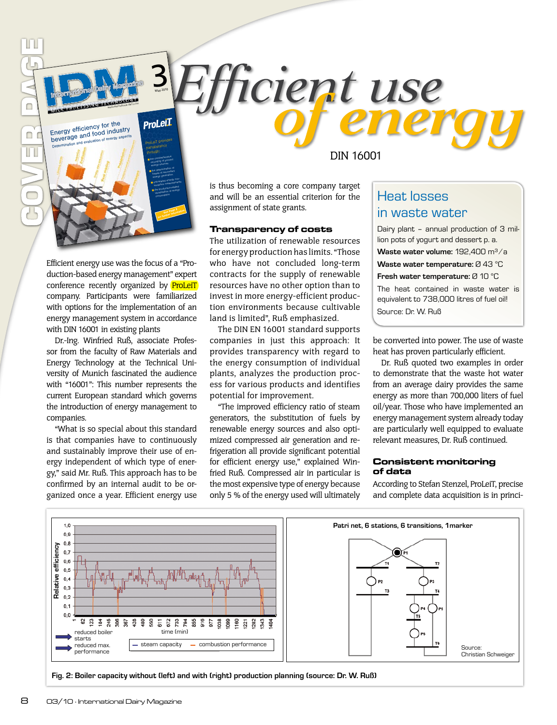**ProLeiT** Energy efficiency for the<br>beverage and food industry<br><sub>Determination and evaluation of energy aspects</sub> ProLeiT provides through: the comprehensive Recording of primary energy sources the determination of Metals of secondary energy generation unit-related energy con*syntression*<br>symption measurements une production related Were proceed of energy consumption See Page 8 **Gee Page reformation** 

www.international-gairy.com

3 May 2010

Efficient energy use was the focus of a "Production-based energy management" expert conference recently organized by **ProLeiT** company. Participants were familiarized with options for the implementation of an energy management system in accordance with DIN 16001 in existing plants

Dr.-Ing. Winfried Ruß, associate Professor from the faculty of Raw Materials and Energy Technology at the Technical University of Munich fascinated the audience with "16001": This number represents the current European standard which governs the introduction of energy management to companies.

"What is so special about this standard is that companies have to continuously and sustainably improve their use of energy independent of which type of energy," said Mr. Ruß. This approach has to be confirmed by an internal audit to be organized once a year. Efficient energy use

DIN 16001

*ifficient use* 

is thus becoming a core company target and will be an essential criterion for the assignment of state grants.

#### **Transparency of costs**

The utilization of renewable resources for energy production has limits. "Those who have not concluded long-term contracts for the supply of renewable resources have no other option than to invest in more energy-efficient production environments because cultivable land is limited", Ruß emphasized.

The DIN EN 16001 standard supports companies in just this approach: It provides transparency with regard to the energy consumption of individual plants, analyzes the production process for various products and identifies potential for improvement.

"The improved efficiency ratio of steam generators, the substitution of fuels by renewable energy sources and also optimized compressed air generation and refrigeration all provide significant potential for efficient energy use," explained Winfried Ruß. Compressed air in particular is the most expensive type of energy because only 5 % of the energy used will ultimately

## Heat losses in waste water

Dairy plant – annual production of 3 million pots of yogurt and dessert p. a. **Waste water volume:** 192,400 m³/a **Waste water temperature:** Ø 43 °C **Fresh water temperature:** Ø 10 °C The heat contained in waste water is equivalent to 738,000 litres of fuel oil! Source: Dr. W. Ruß

be converted into power. The use of waste heat has proven particularly efficient.

Dr. Ruß quoted two examples in order to demonstrate that the waste hot water from an average dairy provides the same energy as more than 700,000 liters of fuel oil/year. Those who have implemented an energy management system already today are particularly well equipped to evaluate relevant measures, Dr. Ruß continued.

#### **Consistent monitoring of data**

According to Stefan Stenzel, ProLeiT, precise and complete data acquisition is in princi-



**Fig. 2: Boiler capacity without (left) and with (right) production planning (source: Dr. W. Ruß)**